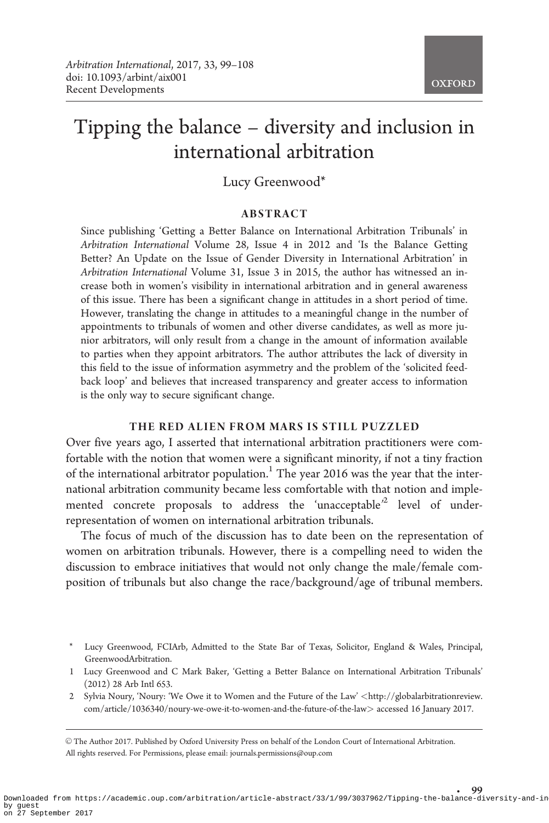# Tipping the balance – diversity and inclusion in international arbitration

## Lucy Greenwood\*

### ABSTRACT

Since publishing 'Getting a Better Balance on International Arbitration Tribunals' in Arbitration International Volume 28, Issue 4 in 2012 and 'Is the Balance Getting Better? An Update on the Issue of Gender Diversity in International Arbitration' in Arbitration International Volume 31, Issue 3 in 2015, the author has witnessed an increase both in women's visibility in international arbitration and in general awareness of this issue. There has been a significant change in attitudes in a short period of time. However, translating the change in attitudes to a meaningful change in the number of appointments to tribunals of women and other diverse candidates, as well as more junior arbitrators, will only result from a change in the amount of information available to parties when they appoint arbitrators. The author attributes the lack of diversity in this field to the issue of information asymmetry and the problem of the 'solicited feedback loop' and believes that increased transparency and greater access to information is the only way to secure significant change.

## THE RED ALIEN FROM MARS IS STILL PUZZLED

Over five years ago, I asserted that international arbitration practitioners were comfortable with the notion that women were a significant minority, if not a tiny fraction of the international arbitrator population.<sup>1</sup> The year 2016 was the year that the international arbitration community became less comfortable with that notion and implemented concrete proposals to address the 'unacceptable<sup>22</sup> level of underrepresentation of women on international arbitration tribunals.

The focus of much of the discussion has to date been on the representation of women on arbitration tribunals. However, there is a compelling need to widen the discussion to embrace initiatives that would not only change the male/female composition of tribunals but also change the race/background/age of tribunal members.

- Lucy Greenwood, FCIArb, Admitted to the State Bar of Texas, Solicitor, England & Wales, Principal, GreenwoodArbitration.
- 1 Lucy Greenwood and C Mark Baker, 'Getting a Better Balance on International Arbitration Tribunals' (2012) 28 Arb Intl 653.
- 2 Sylvia Noury, 'Noury: 'We Owe it to Women and the Future of the Law' <[http://globalarbitrationreview.](http://globalarbitrationreview.com/article/1036340/noury-we-owe-it-to-women-and-the-future-of-the-law) [com/article/1036340/noury-we-owe-it-to-women-and-the-future-of-the-law](http://globalarbitrationreview.com/article/1036340/noury-we-owe-it-to-women-and-the-future-of-the-law)> accessed 16 January 2017.

V<sup>C</sup> The Author 2017. Published by Oxford University Press on behalf of the London Court of International Arbitration. All rights reserved. For Permissions, please email: journals.permissions@oup.com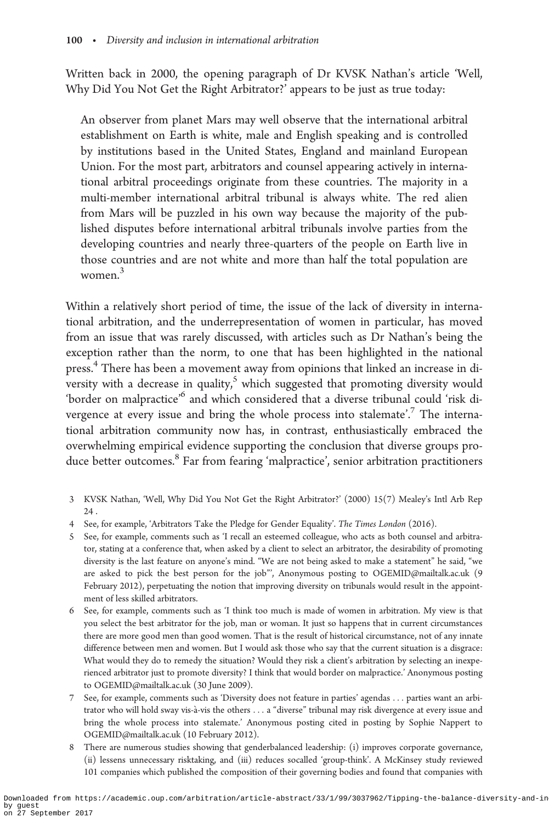Written back in 2000, the opening paragraph of Dr KVSK Nathan's article 'Well, Why Did You Not Get the Right Arbitrator?' appears to be just as true today:

An observer from planet Mars may well observe that the international arbitral establishment on Earth is white, male and English speaking and is controlled by institutions based in the United States, England and mainland European Union. For the most part, arbitrators and counsel appearing actively in international arbitral proceedings originate from these countries. The majority in a multi-member international arbitral tribunal is always white. The red alien from Mars will be puzzled in his own way because the majority of the published disputes before international arbitral tribunals involve parties from the developing countries and nearly three-quarters of the people on Earth live in those countries and are not white and more than half the total population are women $^3$ 

Within a relatively short period of time, the issue of the lack of diversity in international arbitration, and the underrepresentation of women in particular, has moved from an issue that was rarely discussed, with articles such as Dr Nathan's being the exception rather than the norm, to one that has been highlighted in the national press.4 There has been a movement away from opinions that linked an increase in diversity with a decrease in quality,<sup>5</sup> which suggested that promoting diversity would 'border on malpractice'<sup>6</sup> and which considered that a diverse tribunal could 'risk divergence at every issue and bring the whole process into stalemate'.<sup>7</sup> The international arbitration community now has, in contrast, enthusiastically embraced the overwhelming empirical evidence supporting the conclusion that diverse groups produce better outcomes.<sup>8</sup> Far from fearing 'malpractice', senior arbitration practitioners

- 3 KVSK Nathan, 'Well, Why Did You Not Get the Right Arbitrator?' (2000) 15(7) Mealey's Intl Arb Rep 24 .
- 4 See, for example, 'Arbitrators Take the Pledge for Gender Equality'. The Times London (2016).
- 5 See, for example, comments such as 'I recall an esteemed colleague, who acts as both counsel and arbitrator, stating at a conference that, when asked by a client to select an arbitrator, the desirability of promoting diversity is the last feature on anyone's mind. "We are not being asked to make a statement" he said, "we are asked to pick the best person for the job"', Anonymous posting to OGEMID@mailtalk.ac.uk (9 February 2012), perpetuating the notion that improving diversity on tribunals would result in the appointment of less skilled arbitrators.
- 6 See, for example, comments such as 'I think too much is made of women in arbitration. My view is that you select the best arbitrator for the job, man or woman. It just so happens that in current circumstances there are more good men than good women. That is the result of historical circumstance, not of any innate difference between men and women. But I would ask those who say that the current situation is a disgrace: What would they do to remedy the situation? Would they risk a client's arbitration by selecting an inexperienced arbitrator just to promote diversity? I think that would border on malpractice.' Anonymous posting to OGEMID@mailtalk.ac.uk (30 June 2009).
- 7 See, for example, comments such as 'Diversity does not feature in parties' agendas ... parties want an arbitrator who will hold sway vis-à-vis the others . . . a "diverse" tribunal may risk divergence at every issue and bring the whole process into stalemate.' Anonymous posting cited in posting by Sophie Nappert to OGEMID@mailtalk.ac.uk (10 February 2012).
- 8 There are numerous studies showing that genderbalanced leadership: (i) improves corporate governance, (ii) lessens unnecessary risktaking, and (iii) reduces socalled 'group-think'. A McKinsey study reviewed 101 companies which published the composition of their governing bodies and found that companies with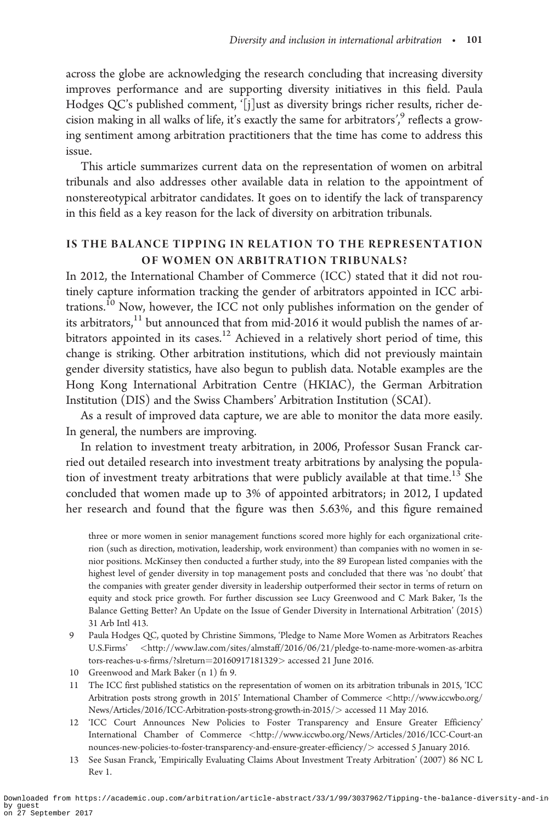across the globe are acknowledging the research concluding that increasing diversity improves performance and are supporting diversity initiatives in this field. Paula Hodges QC's published comment, '[j]ust as diversity brings richer results, richer decision making in all walks of life, it's exactly the same for arbitrators', <sup>9</sup> reflects a growing sentiment among arbitration practitioners that the time has come to address this issue.

This article summarizes current data on the representation of women on arbitral tribunals and also addresses other available data in relation to the appointment of nonstereotypical arbitrator candidates. It goes on to identify the lack of transparency in this field as a key reason for the lack of diversity on arbitration tribunals.

## IS THE BALANCE TIPPING IN RELATION TO THE REPRESENTATION OF WOMEN ON ARBITRATION TRIBUNALS?

In 2012, the International Chamber of Commerce (ICC) stated that it did not routinely capture information tracking the gender of arbitrators appointed in ICC arbitrations.<sup>10</sup> Now, however, the ICC not only publishes information on the gender of its arbitrators, $11$  but announced that from mid-2016 it would publish the names of arbitrators appointed in its cases.<sup>12</sup> Achieved in a relatively short period of time, this change is striking. Other arbitration institutions, which did not previously maintain gender diversity statistics, have also begun to publish data. Notable examples are the Hong Kong International Arbitration Centre (HKIAC), the German Arbitration Institution (DIS) and the Swiss Chambers' Arbitration Institution (SCAI).

As a result of improved data capture, we are able to monitor the data more easily. In general, the numbers are improving.

In relation to investment treaty arbitration, in 2006, Professor Susan Franck carried out detailed research into investment treaty arbitrations by analysing the population of investment treaty arbitrations that were publicly available at that time.<sup>13</sup> She concluded that women made up to 3% of appointed arbitrators; in 2012, I updated her research and found that the figure was then 5.63%, and this figure remained

three or more women in senior management functions scored more highly for each organizational criterion (such as direction, motivation, leadership, work environment) than companies with no women in senior positions. McKinsey then conducted a further study, into the 89 European listed companies with the highest level of gender diversity in top management posts and concluded that there was 'no doubt' that the companies with greater gender diversity in leadership outperformed their sector in terms of return on equity and stock price growth. For further discussion see Lucy Greenwood and C Mark Baker, 'Is the Balance Getting Better? An Update on the Issue of Gender Diversity in International Arbitration' (2015) 31 Arb Intl 413.

- 9 Paula Hodges QC, quoted by Christine Simmons, 'Pledge to Name More Women as Arbitrators Reaches U.S.Firms' <[http://www.law.com/sites/almstaff/2016/06/21/pledge-to-name-more-women-as-arbitra](http://www.law.com/sites/almstaff/2016/06/21/pledge-to-name-more-women-as-arbitrators-reaches-u-s-firms/?slreturn=20160917181329) [tors-reaches-u-s-firms/?slreturn](http://www.law.com/sites/almstaff/2016/06/21/pledge-to-name-more-women-as-arbitrators-reaches-u-s-firms/?slreturn=20160917181329)=[20160917181329](http://www.law.com/sites/almstaff/2016/06/21/pledge-to-name-more-women-as-arbitrators-reaches-u-s-firms/?slreturn=20160917181329)> accessed 21 June 2016.
- 10 Greenwood and Mark Baker (n 1) fn 9.
- 11 The ICC first published statistics on the representation of women on its arbitration tribunals in 2015, 'ICC Arbitration posts strong growth in 2015' International Chamber of Commerce <[http://www.iccwbo.org/](http://www.iccwbo.org/News/Articles/2016/ICC-Arbitration-posts-strong-growth-in-2015/) [News/Articles/2016/ICC-Arbitration-posts-strong-growth-in-2015/](http://www.iccwbo.org/News/Articles/2016/ICC-Arbitration-posts-strong-growth-in-2015/)> accessed 11 May 2016.
- 12 'ICC Court Announces New Policies to Foster Transparency and Ensure Greater Efficiency' International Chamber of Commerce <[http://www.iccwbo.org/News/Articles/2016/ICC-Court-an](http://www.iccwbo.org/News/Articles/2016/ICC-Court-announces-new-policies-to-foster-transparency-and-ensure-greater-efficiency/) [nounces-new-policies-to-foster-transparency-and-ensure-greater-efficiency/](http://www.iccwbo.org/News/Articles/2016/ICC-Court-announces-new-policies-to-foster-transparency-and-ensure-greater-efficiency/)> accessed 5 January 2016.
- 13 See Susan Franck, 'Empirically Evaluating Claims About Investment Treaty Arbitration' (2007) 86 NC L Rev 1.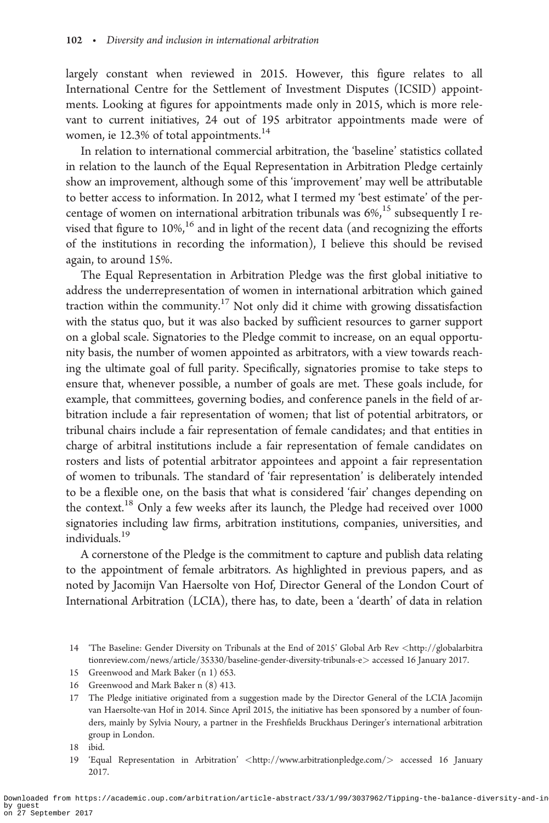largely constant when reviewed in 2015. However, this figure relates to all International Centre for the Settlement of Investment Disputes (ICSID) appointments. Looking at figures for appointments made only in 2015, which is more relevant to current initiatives, 24 out of 195 arbitrator appointments made were of women, ie  $12.3\%$  of total appointments.<sup>14</sup>

In relation to international commercial arbitration, the 'baseline' statistics collated in relation to the launch of the Equal Representation in Arbitration Pledge certainly show an improvement, although some of this 'improvement' may well be attributable to better access to information. In 2012, what I termed my 'best estimate' of the percentage of women on international arbitration tribunals was  $6\%$ ,<sup>15</sup> subsequently I revised that figure to  $10\%$ ,<sup>16</sup> and in light of the recent data (and recognizing the efforts of the institutions in recording the information), I believe this should be revised again, to around 15%.

The Equal Representation in Arbitration Pledge was the first global initiative to address the underrepresentation of women in international arbitration which gained traction within the community.<sup>17</sup> Not only did it chime with growing dissatisfaction with the status quo, but it was also backed by sufficient resources to garner support on a global scale. Signatories to the Pledge commit to increase, on an equal opportunity basis, the number of women appointed as arbitrators, with a view towards reaching the ultimate goal of full parity. Specifically, signatories promise to take steps to ensure that, whenever possible, a number of goals are met. These goals include, for example, that committees, governing bodies, and conference panels in the field of arbitration include a fair representation of women; that list of potential arbitrators, or tribunal chairs include a fair representation of female candidates; and that entities in charge of arbitral institutions include a fair representation of female candidates on rosters and lists of potential arbitrator appointees and appoint a fair representation of women to tribunals. The standard of 'fair representation' is deliberately intended to be a flexible one, on the basis that what is considered 'fair' changes depending on the context.<sup>18</sup> Only a few weeks after its launch, the Pledge had received over 1000 signatories including law firms, arbitration institutions, companies, universities, and individuals.19

A cornerstone of the Pledge is the commitment to capture and publish data relating to the appointment of female arbitrators. As highlighted in previous papers, and as noted by Jacomijn Van Haersolte von Hof, Director General of the London Court of International Arbitration (LCIA), there has, to date, been a 'dearth' of data in relation

<sup>14 &#</sup>x27;The Baseline: Gender Diversity on Tribunals at the End of 2015' Global Arb Rev <[http://globalarbitra](http://globalarbitrationreview.com/news/article/35330/baseline-gender-diversity-tribunals-e) [tionreview.com/news/article/35330/baseline-gender-diversity-tribunals-e](http://globalarbitrationreview.com/news/article/35330/baseline-gender-diversity-tribunals-e)> accessed 16 January 2017.

<sup>15</sup> Greenwood and Mark Baker (n 1) 653.

<sup>16</sup> Greenwood and Mark Baker n (8) 413.

<sup>17</sup> The Pledge initiative originated from a suggestion made by the Director General of the LCIA Jacomijn van Haersolte-van Hof in 2014. Since April 2015, the initiative has been sponsored by a number of founders, mainly by Sylvia Noury, a partner in the Freshfields Bruckhaus Deringer's international arbitration group in London.

<sup>18</sup> ibid.

<sup>19 &#</sup>x27;Equal Representation in Arbitration' <<http://www.arbitrationpledge.com/>> accessed 16 January 2017.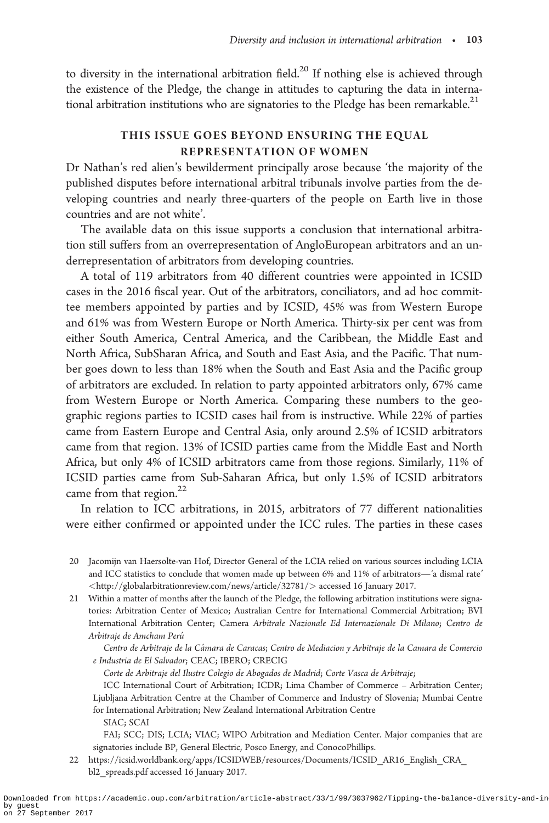to diversity in the international arbitration field.<sup>20</sup> If nothing else is achieved through the existence of the Pledge, the change in attitudes to capturing the data in international arbitration institutions who are signatories to the Pledge has been remarkable.<sup>21</sup>

## THIS ISSUE GOES BEYOND ENSURING THE EQUAL REPRESENTATION OF WOMEN

Dr Nathan's red alien's bewilderment principally arose because 'the majority of the published disputes before international arbitral tribunals involve parties from the developing countries and nearly three-quarters of the people on Earth live in those countries and are not white'.

The available data on this issue supports a conclusion that international arbitration still suffers from an overrepresentation of AngloEuropean arbitrators and an underrepresentation of arbitrators from developing countries.

A total of 119 arbitrators from 40 different countries were appointed in ICSID cases in the 2016 fiscal year. Out of the arbitrators, conciliators, and ad hoc committee members appointed by parties and by ICSID, 45% was from Western Europe and 61% was from Western Europe or North America. Thirty-six per cent was from either South America, Central America, and the Caribbean, the Middle East and North Africa, SubSharan Africa, and South and East Asia, and the Pacific. That number goes down to less than 18% when the South and East Asia and the Pacific group of arbitrators are excluded. In relation to party appointed arbitrators only, 67% came from Western Europe or North America. Comparing these numbers to the geographic regions parties to ICSID cases hail from is instructive. While 22% of parties came from Eastern Europe and Central Asia, only around 2.5% of ICSID arbitrators came from that region. 13% of ICSID parties came from the Middle East and North Africa, but only 4% of ICSID arbitrators came from those regions. Similarly, 11% of ICSID parties came from Sub-Saharan Africa, but only 1.5% of ICSID arbitrators came from that region.<sup>22</sup>

In relation to ICC arbitrations, in 2015, arbitrators of 77 different nationalities were either confirmed or appointed under the ICC rules. The parties in these cases

20 Jacomijn van Haersolte-van Hof, Director General of the LCIA relied on various sources including LCIA and ICC statistics to conclude that women made up between 6% and 11% of arbitrators—'a dismal rate' <<http://globalarbitrationreview.com/news/article/32781/>> accessed 16 January 2017.

21 Within a matter of months after the launch of the Pledge, the following arbitration institutions were signatories: Arbitration Center of Mexico; Australian Centre for International Commercial Arbitration; BVI International Arbitration Center; Camera Arbitrale Nazionale Ed Internazionale Di Milano; Centro de Arbitraje de Amcham Perú

Centro de Arbitraje de la Camara de Caracas; Centro de Mediacion y Arbitraje de la Camara de Comercio e Industria de El Salvador; CEAC; IBERO; CRECIG

Corte de Arbitraje del Ilustre Colegio de Abogados de Madrid; Corte Vasca de Arbitraje;

ICC International Court of Arbitration; ICDR; Lima Chamber of Commerce – Arbitration Center; Ljubljana Arbitration Centre at the Chamber of Commerce and Industry of Slovenia; Mumbai Centre for International Arbitration; New Zealand International Arbitration Centre

SIAC; SCAI

FAI; SCC; DIS; LCIA; VIAC; WIPO Arbitration and Mediation Center. Major companies that are signatories include BP, General Electric, Posco Energy, and ConocoPhillips.

22 [https://icsid.worldbank.org/apps/ICSIDWEB/resources/Documents/ICSID\\_AR16\\_English\\_CRA\\_](https://icsid.worldbank.org/apps/ICSIDWEB/resources/Documents/ICSID_AR16_English_CRA_bl2_spreads.pdf) [bl2\\_spreads.pdf](https://icsid.worldbank.org/apps/ICSIDWEB/resources/Documents/ICSID_AR16_English_CRA_bl2_spreads.pdf) accessed 16 January 2017.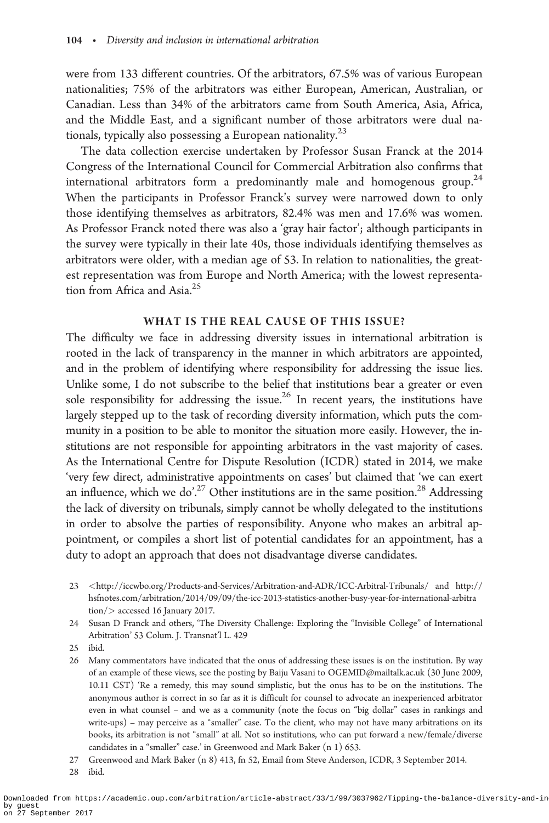were from 133 different countries. Of the arbitrators, 67.5% was of various European nationalities; 75% of the arbitrators was either European, American, Australian, or Canadian. Less than 34% of the arbitrators came from South America, Asia, Africa, and the Middle East, and a significant number of those arbitrators were dual nationals, typically also possessing a European nationality.<sup>23</sup>

The data collection exercise undertaken by Professor Susan Franck at the 2014 Congress of the International Council for Commercial Arbitration also confirms that international arbitrators form a predominantly male and homogenous group.<sup>24</sup> When the participants in Professor Franck's survey were narrowed down to only those identifying themselves as arbitrators, 82.4% was men and 17.6% was women. As Professor Franck noted there was also a 'gray hair factor'; although participants in the survey were typically in their late 40s, those individuals identifying themselves as arbitrators were older, with a median age of 53. In relation to nationalities, the greatest representation was from Europe and North America; with the lowest representation from Africa and Asia.<sup>25</sup>

#### WHAT IS THE REAL CAUSE OF THIS ISSUE?

The difficulty we face in addressing diversity issues in international arbitration is rooted in the lack of transparency in the manner in which arbitrators are appointed, and in the problem of identifying where responsibility for addressing the issue lies. Unlike some, I do not subscribe to the belief that institutions bear a greater or even sole responsibility for addressing the issue.<sup>26</sup> In recent years, the institutions have largely stepped up to the task of recording diversity information, which puts the community in a position to be able to monitor the situation more easily. However, the institutions are not responsible for appointing arbitrators in the vast majority of cases. As the International Centre for Dispute Resolution (ICDR) stated in 2014, we make 'very few direct, administrative appointments on cases' but claimed that 'we can exert an influence, which we do'.<sup>27</sup> Other institutions are in the same position.<sup>28</sup> Addressing the lack of diversity on tribunals, simply cannot be wholly delegated to the institutions in order to absolve the parties of responsibility. Anyone who makes an arbitral appointment, or compiles a short list of potential candidates for an appointment, has a duty to adopt an approach that does not disadvantage diverse candidates.

- 23 <<http://iccwbo.org/Products-and-Services/Arbitration-and-ADR/ICC-Arbitral-Tribunals/> and [http://](http://hsfnotes.com/arbitration/2014/09/09/the-icc-2013-statistics-another-busy-year-for-international-arbitration/) [hsfnotes.com/arbitration/2014/09/09/the-icc-2013-statistics-another-busy-year-for-international-arbitra](http://hsfnotes.com/arbitration/2014/09/09/the-icc-2013-statistics-another-busy-year-for-international-arbitration/) [tion/](http://hsfnotes.com/arbitration/2014/09/09/the-icc-2013-statistics-another-busy-year-for-international-arbitration/)> accessed 16 January 2017.
- 24 Susan D Franck and others, 'The Diversity Challenge: Exploring the "Invisible College" of International Arbitration' 53 Colum. J. Transnat'l L. 429
- 25 ibid.
- 26 Many commentators have indicated that the onus of addressing these issues is on the institution. By way of an example of these views, see the posting by Baiju Vasani to OGEMID@mailtalk.ac.uk (30 June 2009, 10.11 CST) 'Re a remedy, this may sound simplistic, but the onus has to be on the institutions. The anonymous author is correct in so far as it is difficult for counsel to advocate an inexperienced arbitrator even in what counsel – and we as a community (note the focus on "big dollar" cases in rankings and write-ups) – may perceive as a "smaller" case. To the client, who may not have many arbitrations on its books, its arbitration is not "small" at all. Not so institutions, who can put forward a new/female/diverse candidates in a "smaller" case.' in Greenwood and Mark Baker (n 1) 653.
- 27 Greenwood and Mark Baker (n 8) 413, fn 52, Email from Steve Anderson, ICDR, 3 September 2014.
- 28 ibid.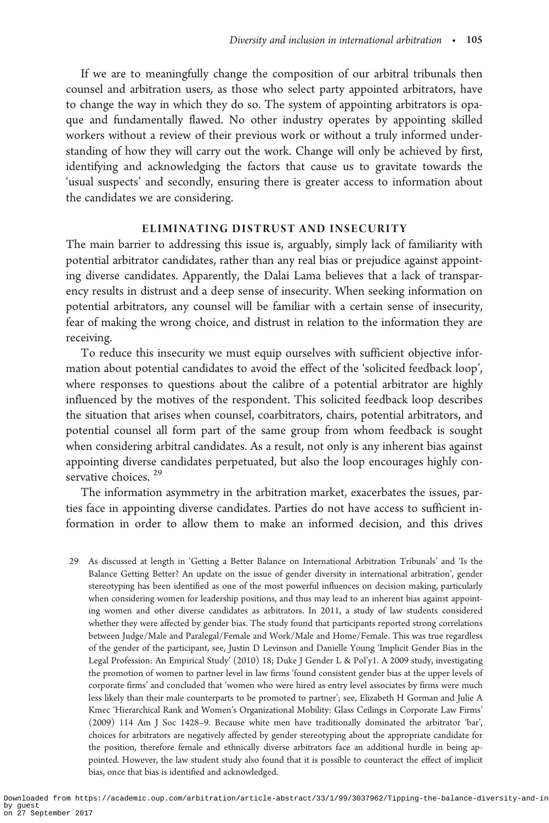If we are to meaningfully change the composition of our arbitral tribunals then counsel and arbitration users, as those who select party appointed arbitrators, have to change the way in which they do so. The system of appointing arbitrators is opaque and fundamentally flawed. No other industry operates by appointing skilled workers without a review of their previous work or without a truly informed understanding of how they will carry out the work. Change will only be achieved by first, identifying and acknowledging the factors that cause us to gravitate towards the 'usual suspects' and secondly, ensuring there is greater access to information about the candidates we are considering.

#### ELIMINATING DISTRUST AND INSECURITY

The main barrier to addressing this issue is, arguably, simply lack of familiarity with potential arbitrator candidates, rather than any real bias or prejudice against appointing diverse candidates. Apparently, the Dalai Lama believes that a lack of transparency results in distrust and a deep sense of insecurity. When seeking information on potential arbitrators, any counsel will be familiar with a certain sense of insecurity, fear of making the wrong choice, and distrust in relation to the information they are receiving.

To reduce this insecurity we must equip ourselves with sufficient objective information about potential candidates to avoid the effect of the 'solicited feedback loop', where responses to questions about the calibre of a potential arbitrator are highly influenced by the motives of the respondent. This solicited feedback loop describes the situation that arises when counsel, coarbitrators, chairs, potential arbitrators, and potential counsel all form part of the same group from whom feedback is sought when considering arbitral candidates. As a result, not only is any inherent bias against appointing diverse candidates perpetuated, but also the loop encourages highly conservative choices.<sup>29</sup>

The information asymmetry in the arbitration market, exacerbates the issues, parties face in appointing diverse candidates. Parties do not have access to sufficient information in order to allow them to make an informed decision, and this drives

29 As discussed at length in 'Getting a Better Balance on International Arbitration Tribunals' and 'Is the Balance Getting Better? An update on the issue of gender diversity in international arbitration', gender stereotyping has been identified as one of the most powerful influences on decision making, particularly when considering women for leadership positions, and thus may lead to an inherent bias against appointing women and other diverse candidates as arbitrators. In 2011, a study of law students considered whether they were affected by gender bias. The study found that participants reported strong correlations between Judge/Male and Paralegal/Female and Work/Male and Home/Female. This was true regardless of the gender of the participant, see, Justin D Levinson and Danielle Young 'Implicit Gender Bias in the Legal Profession: An Empirical Study' (2010) 18; Duke J Gender L & Pol'y1. A 2009 study, investigating the promotion of women to partner level in law firms 'found consistent gender bias at the upper levels of corporate firms' and concluded that 'women who were hired as entry level associates by firms were much less likely than their male counterparts to be promoted to partner'; see, Elizabeth H Gorman and Julie A Kmec 'Hierarchical Rank and Women's Organizational Mobility: Glass Ceilings in Corporate Law Firms' (2009) 114 Am J Soc 1428–9. Because white men have traditionally dominated the arbitrator 'bar', choices for arbitrators are negatively affected by gender stereotyping about the appropriate candidate for the position, therefore female and ethnically diverse arbitrators face an additional hurdle in being appointed. However, the law student study also found that it is possible to counteract the effect of implicit bias, once that bias is identified and acknowledged.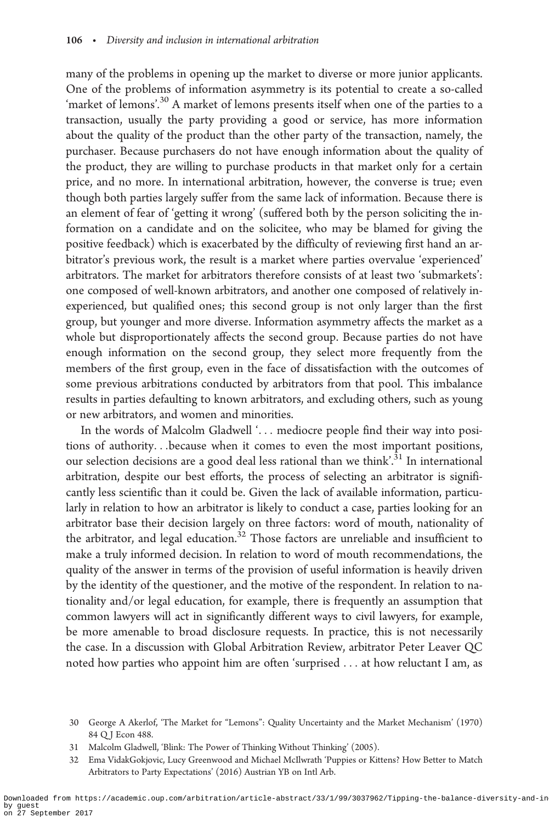many of the problems in opening up the market to diverse or more junior applicants. One of the problems of information asymmetry is its potential to create a so-called 'market of lemons'. <sup>30</sup> A market of lemons presents itself when one of the parties to a transaction, usually the party providing a good or service, has more information about the quality of the product than the other party of the transaction, namely, the purchaser. Because purchasers do not have enough information about the quality of the product, they are willing to purchase products in that market only for a certain price, and no more. In international arbitration, however, the converse is true; even though both parties largely suffer from the same lack of information. Because there is an element of fear of 'getting it wrong' (suffered both by the person soliciting the information on a candidate and on the solicitee, who may be blamed for giving the positive feedback) which is exacerbated by the difficulty of reviewing first hand an arbitrator's previous work, the result is a market where parties overvalue 'experienced' arbitrators. The market for arbitrators therefore consists of at least two 'submarkets': one composed of well-known arbitrators, and another one composed of relatively inexperienced, but qualified ones; this second group is not only larger than the first group, but younger and more diverse. Information asymmetry affects the market as a whole but disproportionately affects the second group. Because parties do not have enough information on the second group, they select more frequently from the members of the first group, even in the face of dissatisfaction with the outcomes of some previous arbitrations conducted by arbitrators from that pool. This imbalance results in parties defaulting to known arbitrators, and excluding others, such as young or new arbitrators, and women and minorities.

In the words of Malcolm Gladwell '... mediocre people find their way into positions of authority...because when it comes to even the most important positions, our selection decisions are a good deal less rational than we think'.<sup>31</sup> In international arbitration, despite our best efforts, the process of selecting an arbitrator is significantly less scientific than it could be. Given the lack of available information, particularly in relation to how an arbitrator is likely to conduct a case, parties looking for an arbitrator base their decision largely on three factors: word of mouth, nationality of the arbitrator, and legal education.<sup>32</sup> Those factors are unreliable and insufficient to make a truly informed decision. In relation to word of mouth recommendations, the quality of the answer in terms of the provision of useful information is heavily driven by the identity of the questioner, and the motive of the respondent. In relation to nationality and/or legal education, for example, there is frequently an assumption that common lawyers will act in significantly different ways to civil lawyers, for example, be more amenable to broad disclosure requests. In practice, this is not necessarily the case. In a discussion with Global Arbitration Review, arbitrator Peter Leaver QC noted how parties who appoint him are often 'surprised ... at how reluctant I am, as

<sup>30</sup> George A Akerlof, 'The Market for "Lemons": Quality Uncertainty and the Market Mechanism' (1970) 84 Q J Econ 488.

<sup>31</sup> Malcolm Gladwell, 'Blink: The Power of Thinking Without Thinking' (2005).

<sup>32</sup> Ema VidakGokjovic, Lucy Greenwood and Michael McIlwrath 'Puppies or Kittens? How Better to Match Arbitrators to Party Expectations' (2016) Austrian YB on Intl Arb.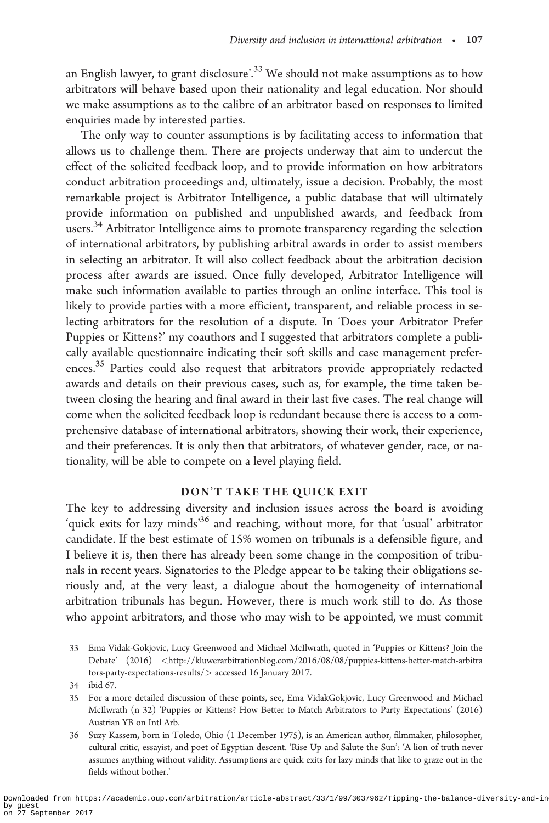an English lawyer, to grant disclosure'.<sup>33</sup> We should not make assumptions as to how arbitrators will behave based upon their nationality and legal education. Nor should we make assumptions as to the calibre of an arbitrator based on responses to limited enquiries made by interested parties.

The only way to counter assumptions is by facilitating access to information that allows us to challenge them. There are projects underway that aim to undercut the effect of the solicited feedback loop, and to provide information on how arbitrators conduct arbitration proceedings and, ultimately, issue a decision. Probably, the most remarkable project is Arbitrator Intelligence, a public database that will ultimately provide information on published and unpublished awards, and feedback from users.<sup>34</sup> Arbitrator Intelligence aims to promote transparency regarding the selection of international arbitrators, by publishing arbitral awards in order to assist members in selecting an arbitrator. It will also collect feedback about the arbitration decision process after awards are issued. Once fully developed, Arbitrator Intelligence will make such information available to parties through an online interface. This tool is likely to provide parties with a more efficient, transparent, and reliable process in selecting arbitrators for the resolution of a dispute. In 'Does your Arbitrator Prefer Puppies or Kittens?' my coauthors and I suggested that arbitrators complete a publically available questionnaire indicating their soft skills and case management preferences.<sup>35</sup> Parties could also request that arbitrators provide appropriately redacted awards and details on their previous cases, such as, for example, the time taken between closing the hearing and final award in their last five cases. The real change will come when the solicited feedback loop is redundant because there is access to a comprehensive database of international arbitrators, showing their work, their experience, and their preferences. It is only then that arbitrators, of whatever gender, race, or nationality, will be able to compete on a level playing field.

#### DON'T TAKE THE QUICK EXIT

The key to addressing diversity and inclusion issues across the board is avoiding 'quick exits for lazy minds'<sup>36</sup> and reaching, without more, for that 'usual' arbitrator candidate. If the best estimate of 15% women on tribunals is a defensible figure, and I believe it is, then there has already been some change in the composition of tribunals in recent years. Signatories to the Pledge appear to be taking their obligations seriously and, at the very least, a dialogue about the homogeneity of international arbitration tribunals has begun. However, there is much work still to do. As those who appoint arbitrators, and those who may wish to be appointed, we must commit

33 Ema Vidak-Gokjovic, Lucy Greenwood and Michael McIlwrath, quoted in 'Puppies or Kittens? Join the Debate' (2016) <[http://kluwerarbitrationblog.com/2016/08/08/puppies-kittens-better-match-arbitra](http://kluwerarbitrationblog.com/2016/08/08/puppies-kittens-better-match-arbitrators-party-expectations-results/) [tors-party-expectations-results/](http://kluwerarbitrationblog.com/2016/08/08/puppies-kittens-better-match-arbitrators-party-expectations-results/)> accessed 16 January 2017.

- 35 For a more detailed discussion of these points, see, Ema VidakGokjovic, Lucy Greenwood and Michael McIlwrath (n 32) 'Puppies or Kittens? How Better to Match Arbitrators to Party Expectations' (2016) Austrian YB on Intl Arb.
- 36 Suzy Kassem, born in Toledo, Ohio (1 December 1975), is an American author, filmmaker, philosopher, cultural critic, essayist, and poet of Egyptian descent. 'Rise Up and Salute the Sun': 'A lion of truth never assumes anything without validity. Assumptions are quick exits for lazy minds that like to graze out in the fields without bother.'

<sup>34</sup> ibid 67.